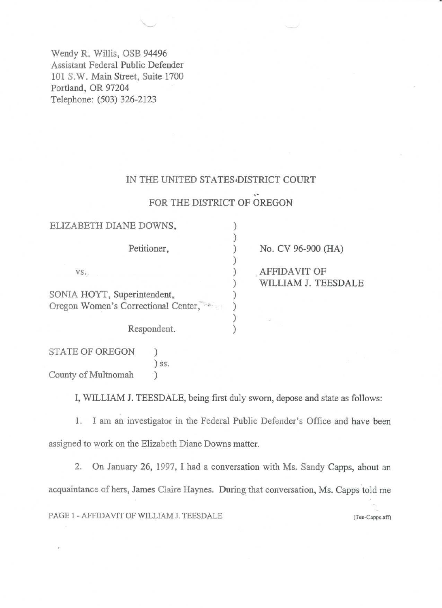Wendy R. Willis, OSB 94496 Assistant Federal Public Defender 101 S.W. Main Street, Suite 1700 Portland, OR 97204 Telephone: (503) 326-2123

#### IN THE UNITED STATES DISTRICT COURT

## FOR THE DISTRICT OF OREGON

| ELIZABETH DIANE DOWNS,              |                     |
|-------------------------------------|---------------------|
| Petitioner,                         | No. CV 96-900 (HA)  |
| VS.                                 | AFFIDAVIT OF        |
|                                     | WILLIAM J. TEESDALE |
| SONIA HOYT, Superintendent,         |                     |
| Oregon Women's Correctional Center, |                     |
| Respondent.                         |                     |
|                                     |                     |

STATE OF OREGON ) ) ss. County of Mulmomah )

I, WILLIAM J. TEESDALE, being first duly sworn, depose and state as follows:

1. I am an investigator in the Federal Public Defender's Office and have been assigned to work on the Elizabeth Diane Downs matter.

2. On January 26, 1997, I had a conversation with Ms. Sandy Capps, about an acquaintance of hers, James Claire Haynes. During that conversation, Ms. Capps told me PAGE 1 - AFFIDAVIT OF WILLIAM J. TEESDALE (Tee-Capps.aff)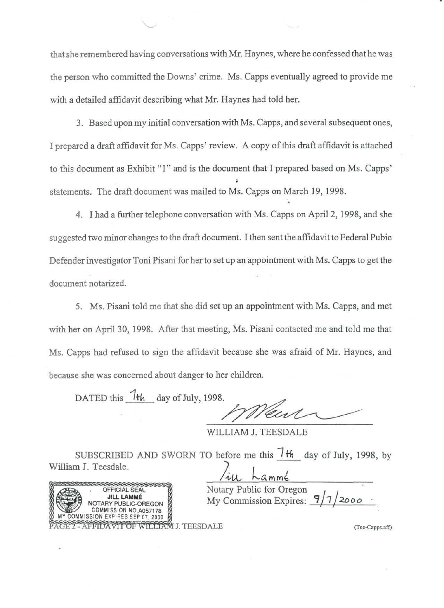that she remembered having conversations with Mr. Haynes, where he confessed that he was the person who committed the Downs' crime. Ms. Capps eventually agreed to provide me with a detailed affidavit describing what Mr. Haynes had told her.

 $\sim$   $\sim$ 

3. Based upon my initial conversation with Ms. Capps, and several subsequent ones, I prepared a draft affidavit for Ms. Capps' review. A copy of this draft affidavit is attached to this document as Exhibit "1" and is the document that I prepared based on Ms. Capps' i statements. The draft document was mailed to Ms. Capps on March 19, 1998.

4. I had a further telephone conversation with Ms. Capps on April 2, 1998, and she suggested two minor changes to the draft document. I then sent the affidavit to Federal Pubic Defender investigator Toni Pisani for her to set up an appointment with Ms. Capps to get the document notarized.

5. Ms. Pisani told me that she did set up an appointment with Ms. Capps, and met with her on April 30, 1998. After that meeting, Ms. Pisani contacted me and told me that Ms. Capps had refused to sign the affidavit because she was afraid of Mr. Haynes, and because she was concerned about danger to her children.

DATED this  $7+h$  day of July, 1998.

L

WILLIAM J. TEESDALE

SUBSCRIBED AND SWORN TO before me this  $7<sup>H</sup>$  day of July, 1998, by William J. Teesdale.  $\frac{1}{i}$ 

WILLIAM J. TEESDALE<br>BSCRIBED AND SWORN TO before me this 7th<br>Teesdale.<br>CONNIE SALE MOTARY PUBLIC-OREGON<br>NOTARY PUBLIC-OREGON<br>COMMISSION NO.A057178<br>COMMISSION NO.A057178<br>FFIDAVIT OF WILLIAM J. TEESDALE COMMISSION NO.A057178 SION EXPIRES SEP 07, 2000 FIDA VII OF WILLIAM J. TEESDALE (Tee-Capps.aff)

OFFICIAL SEAL MONARY Public for Oregon<br>JILL LAMMÉ My Commission Expires: 9/7/2000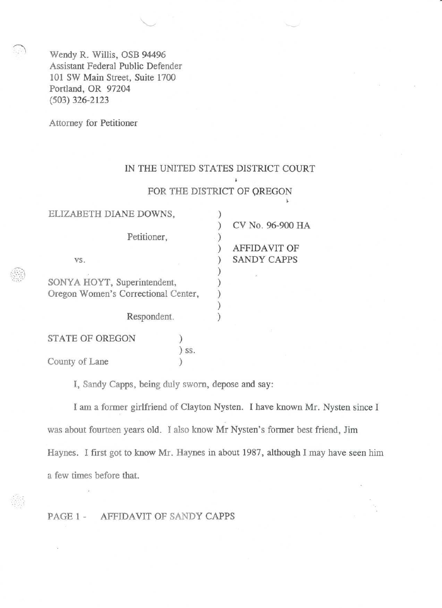Wendy R. Willis, OSB 94496 Assistant Federal Public Defender 101 SW Main Street, Suite 1700 Portland, OR 97204 (503) 326-2123

Attorney for Petitioner

### IN THE UNITED STATES DISTRICT COURT

ä.

## FOR THE DISTRICT OF QREGON

| ELIZABETH DIANE DOWNS,                                             |     |                     |                  |
|--------------------------------------------------------------------|-----|---------------------|------------------|
|                                                                    |     |                     | CV No. 96-900 HA |
| Petitioner,                                                        |     |                     |                  |
|                                                                    |     | <b>AFFIDAVIT OF</b> |                  |
| VS.                                                                |     | <b>SANDY CAPPS</b>  |                  |
| SONYA HOYT, Superintendent,<br>Oregon Women's Correctional Center, |     |                     |                  |
| Respondent.                                                        |     |                     |                  |
| <b>STATE OF OREGON</b>                                             |     |                     |                  |
|                                                                    | SS. |                     |                  |

County of Lane (1)

j

I, Sandy Capps, being duly sworn, depose and say:

I am a former girlfriend of Clayton Nysten. I have known Mr. Nysten since I was about fourteen years old. I also know Mr Nysten's former best friend, Jim Haynes. I first got to know Mr. Haynes in about 1987, although I may have seen him a few times before that.

PAGE 1 - AFFIDAVIT OF SANDY CAPPS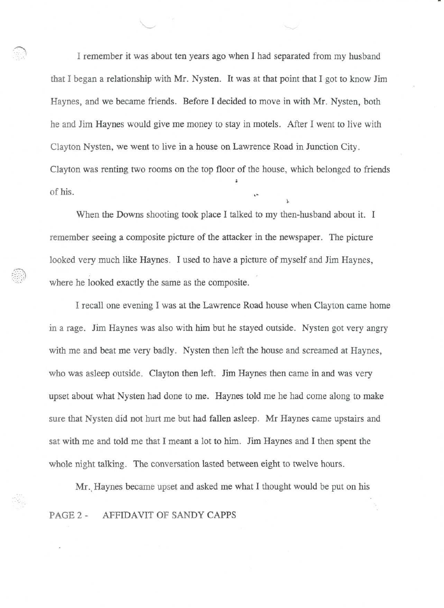I remember it was about ten years ago when I had separated from my husband that I began a relationship with Mr. Nysten. It was at that point that I got to know Jim Haynes, and we became friends. Before I decided to move in with Mr. Nysten, both he and Jim Haynes would give me money to stay in motels. After I went to live with Clayton Nysten, we went to live in a house on Lawrence Road in Junction City. Clayton was renting two rooms on the top floor of the house, which belonged to friends i of his.

i.

 $\sim$   $\sim$ 

When the Downs shooting took place I talked to my then-husband about it. I remember seeing a composite picture of the attacker in the newspaper. The picture looked very much like Haynes. I used to have a picture of myself and Jim Haynes, where he looked exactly the same as the composite.

I recall one evening I was at the Lawrence Road house when Clayton came home in a rage. Jim Haynes was also with him but he stayed outside. Nysten got very angry with me and beat me very badly. Nysten then left the house and screamed at Haynes, who was asleep outside. Clayton then left. Jim Haynes then came in and was very upset about what Nysten had done to me. Haynes told me he had come along to make sure that Nysten did not hurt me but had fallen asleep. Mr Haynes came upstairs and sat with me and told me that I meant a lot to him. Jim Haynes and I then spent the whole night talking. The conversation lasted between eight to twelve hours.

Mr. Haynes became upset and asked me what I thought would be put on his PAGE 2 - AFFIDAVIT OF SANDY CAPPS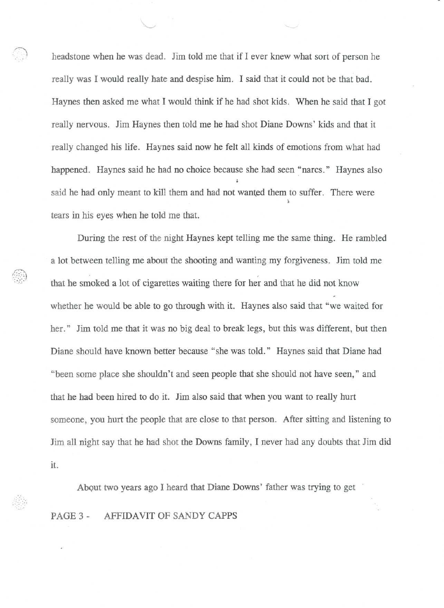headstone when he was dead. Jim told me that if I ever knew what sort of person he really was I would really hate and despise him. I said that it could not be that bad. Haynes then asked me what I would think if he had shot kids. When he said that I got really nervous. Jim Haynes then told me he had shot Diane Downs' kids and that it really changed his life. Haynes said now he felt all kinds of emotions from what had happened. Haynes said he had no choice because she had seen "narcs." Haynes also<br> said he had only meant to kill them and had not wanted them to suffer. There were i. tears in his eyes when he told me that.

 $\sim$   $\sim$ 

During the rest of the night Haynes kept telling me the same thing. He rambled a lot between telling me about the shooting and wanting my forgiveness. Jim told me that he smoked a lot of cigarettes waiting there for her and that he did not know whether he would be able to go through with it. Haynes also said that "we waited for her." Jim told me that it was no big deal to break legs, but this was different, but then Diane should have known better because "she was told." Haynes said that Diane had "been some place she shouldn't and seen people that she should not have seen," and that he had been hired to do it. Jim also said that when you want to really hurt someone, you hurt the people that are close to that person. After sitting and listening to Jim all night say that he had shot the Downs family, I never had any doubts that Jim did it.

About two years ago I heard that Diane Downs' father was trying to get PAGE 3 - AFFIDAVIT OF SANDY CAPPS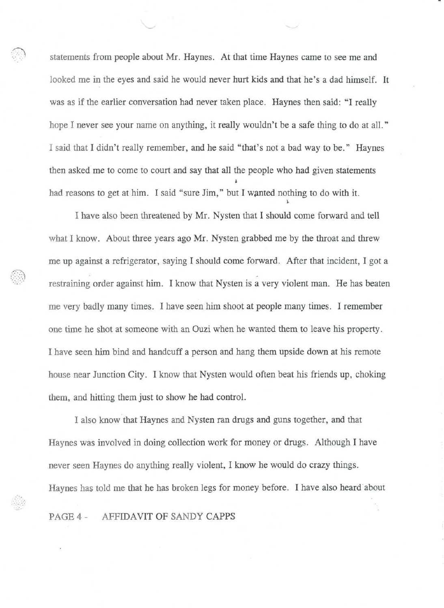statements from people about Mr. Haynes. At that time Haynes came to see me and looked me in the eyes and said he would never hurt kids and that he's a dad himself. It was as if the earlier conversation had never taken place. Haynes then said: "I really hope I never see your name on anything, it really wouldn't be a safe thing to do at all." I said that I didn't really remember, and he said "that's not a bad way to be." Haynes then asked me to come to court and say that all the people who had given statements i had reasons to get at him. I said "sure Jim," but I wanted nothing to do with it.

i.

I have also been threatened by Mr. Nysten that I should come forward and tell what I know. About three years ago Mr. Nysten grabbed me by the throat and threw me up against a refrigerator, saying I should come forward. After that incident, I got a restraining order against him. I know that Nysten is a very violent man. He has beaten me very badly many times. I have seen him shoot at people many times. I remember one time he shot at someone with an Ouzi when he wanted them to leave his property. I have seen him bind and handcuff a person and hang them upside down at his remote house near Junction City. I know that Nysten would often beat his friends up, choking them, and hitting them just to show he had control.

I also know that Haynes and Nysten ran drugs and guns together, and that Haynes was involved in doing collection work for money or drugs. Although I have never seen Haynes do anything really violent, I know he would do crazy things. Haynes has told me that he has broken legs for money before. I have also heard about PAGE 4 - AFFIDAVIT OF SANDY CAPPS